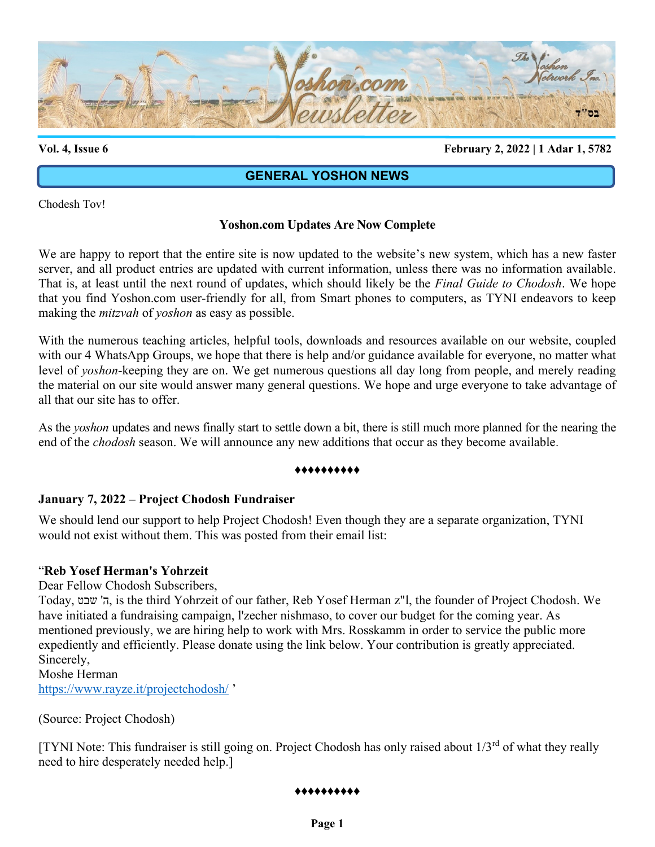

**Vol. 4, Issue 6 February 2, 2022 | 1 Adar 1, 5782**

# **GENERAL YOSHON NEWS**

Chodesh Tov!

### **Yoshon.com Updates Are Now Complete**

We are happy to report that the entire site is now updated to the website's new system, which has a new faster server, and all product entries are updated with current information, unless there was no information available. That is, at least until the next round of updates, which should likely be the *Final Guide to Chodosh*. We hope that you find Yoshon.com user-friendly for all, from Smart phones to computers, as TYNI endeavors to keep making the *mitzvah* of *yoshon* as easy as possible.

With the numerous teaching articles, helpful tools, downloads and resources available on our website, coupled with our 4 WhatsApp Groups, we hope that there is help and/or guidance available for everyone, no matter what level of *yoshon*-keeping they are on. We get numerous questions all day long from people, and merely reading the material on our site would answer many general questions. We hope and urge everyone to take advantage of all that our site has to offer.

As the *yoshon* updates and news finally start to settle down a bit, there is still much more planned for the nearing the end of the *chodosh* season. We will announce any new additions that occur as they become available.

#### ♦♦♦♦♦♦♦♦♦♦

#### **January 7, 2022 – Project Chodosh Fundraiser**

We should lend our support to help Project Chodosh! Even though they are a separate organization, TYNI would not exist without them. This was posted from their email list:

#### "**Reb Yosef Herman's Yohrzeit**

Dear Fellow Chodosh Subscribers,

Today, שבט' ה, is the third Yohrzeit of our father, Reb Yosef Herman z"l, the founder of Project Chodosh. We have initiated a fundraising campaign, l'zecher nishmaso, to cover our budget for the coming year. As mentioned previously, we are hiring help to work with Mrs. Rosskamm in order to service the public more expediently and efficiently. Please donate using the link below. Your contribution is greatly appreciated. Sincerely,

Moshe Herman <https://www.rayze.it/projectchodosh/> '

(Source: Project Chodosh)

[TYNI Note: This fundraiser is still going on. Project Chodosh has only raised about 1/3rd of what they really need to hire desperately needed help.]

#### ♦♦♦♦♦♦♦♦♦♦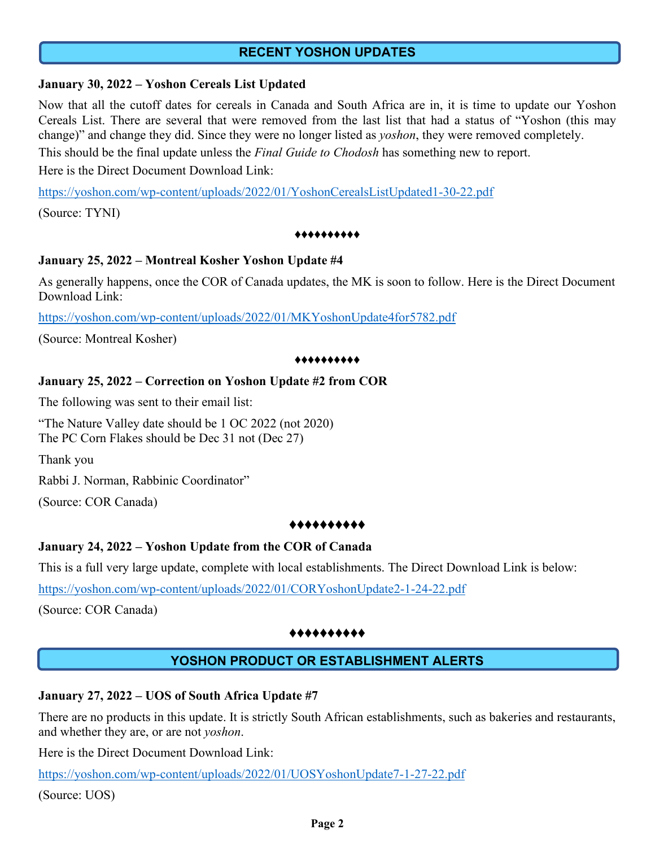# **RECENT YOSHON UPDATES**

### **January 30, 2022 – Yoshon Cereals List Updated**

Now that all the cutoff dates for cereals in Canada and South Africa are in, it is time to update our Yoshon Cereals List. There are several that were removed from the last list that had a status of "Yoshon (this may change)" and change they did. Since they were no longer listed as *yoshon*, they were removed completely.

This should be the final update unless the *Final Guide to Chodosh* has something new to report.

Here is the Direct Document Download Link:

<https://yoshon.com/wp-content/uploads/2022/01/YoshonCerealsListUpdated1-30-22.pdf>

(Source: TYNI)

#### ♦♦♦♦♦♦♦♦♦♦

### **January 25, 2022 – Montreal Kosher Yoshon Update #4**

As generally happens, once the COR of Canada updates, the MK is soon to follow. Here is the Direct Document Download Link:

<https://yoshon.com/wp-content/uploads/2022/01/MKYoshonUpdate4for5782.pdf>

(Source: Montreal Kosher)

#### ♦♦♦♦♦♦♦♦♦♦

### **January 25, 2022 – Correction on Yoshon Update #2 from COR**

The following was sent to their email list:

"The Nature Valley date should be 1 OC 2022 (not 2020) The PC Corn Flakes should be Dec 31 not (Dec 27)

Thank you

Rabbi J. Norman, Rabbinic Coordinator"

(Source: COR Canada)

#### ♦♦♦♦♦♦♦♦♦♦

# **January 24, 2022 – Yoshon Update from the COR of Canada**

This is a full very large update, complete with local establishments. The Direct Download Link is below:

<https://yoshon.com/wp-content/uploads/2022/01/CORYoshonUpdate2-1-24-22.pdf>

(Source: COR Canada)

#### ♦♦♦♦♦♦♦♦♦♦

# **YOSHON PRODUCT OR ESTABLISHMENT ALERTS**

# **January 27, 2022 – UOS of South Africa Update #7**

There are no products in this update. It is strictly South African establishments, such as bakeries and restaurants, and whether they are, or are not *yoshon*.

Here is the Direct Document Download Link:

<https://yoshon.com/wp-content/uploads/2022/01/UOSYoshonUpdate7-1-27-22.pdf>

(Source: UOS)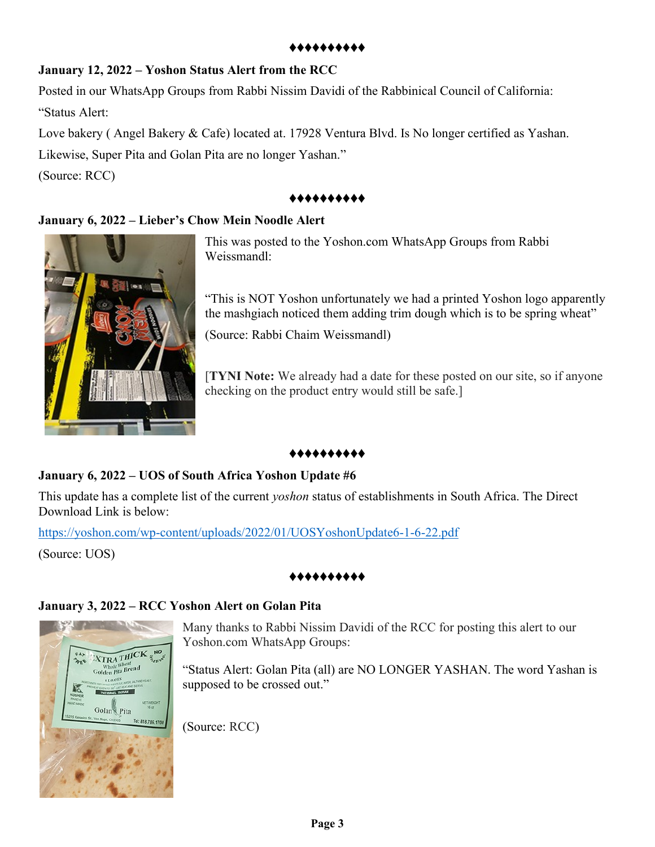#### ♦♦♦♦♦♦♦♦♦♦

# **January 12, 2022 – Yoshon Status Alert from the RCC**

Posted in our WhatsApp Groups from Rabbi Nissim Davidi of the Rabbinical Council of California: "Status Alert:

Love bakery ( Angel Bakery & Cafe) located at. 17928 Ventura Blvd. Is No longer certified as Yashan. Likewise, Super Pita and Golan Pita are no longer Yashan."

(Source: RCC)

# ♦♦♦♦♦♦♦♦♦♦

# **January 6, 2022 – Lieber's Chow Mein Noodle Alert**



This was posted to the Yoshon.com WhatsApp Groups from Rabbi Weissmandl:

"This is NOT Yoshon unfortunately we had a printed Yoshon logo apparently the mashgiach noticed them adding trim dough which is to be spring wheat"

(Source: Rabbi Chaim Weissmandl)

[**TYNI Note:** We already had a date for these posted on our site, so if anyone checking on the product entry would still be safe.]

# ♦♦♦♦♦♦♦♦♦♦

# **January 6, 2022 – UOS of South Africa Yoshon Update #6**

This update has a complete list of the current *yoshon* status of establishments in South Africa. The Direct Download Link is below:

<https://yoshon.com/wp-content/uploads/2022/01/UOSYoshonUpdate6-1-6-22.pdf>

(Source: UOS)

#### ♦♦♦♦♦♦♦♦♦♦

# **January 3, 2022 – RCC Yoshon Alert on Golan Pita**



Many thanks to Rabbi Nissim Davidi of the RCC for posting this alert to our Yoshon.com WhatsApp Groups:

"Status Alert: Golan Pita (all) are NO LONGER YASHAN. The word Yashan is supposed to be crossed out."

(Source: RCC)